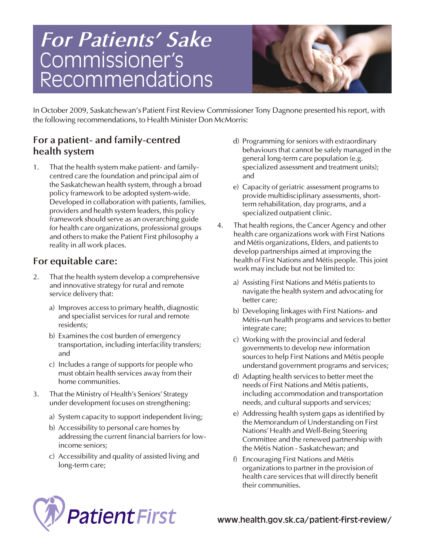# Commissioner's Recommendations *For Patients' Sake*



*In October 2009, Saskatchewan's Patient First Review Commissioner Tony Dagnone presented his report, with the following recommendations, to Health Minister Don McMorris:*

#### *For a patient- and family-centred health system*

*1. That the health system make patient- and familycentred care the foundation and principal aim of the Saskatchewan health system, through a broad policy framework to be adopted system-wide. Developed in collaboration with patients, families, providers and health system leaders, this policy framework should serve as an overarching guide for health care organizations, professional groups and others to make the Patient First philosophy a reality in all work places.*

## *For equitable care:*

- *2. That the health system develop a comprehensive and innovative strategy for rural and remote service delivery that:* 
	- *a) Improves access to primary health, diagnostic and specialist services for rural and remote residents;*
	- *b) Examines the cost burden of emergency transportation, including interfacility transfers; and*
	- *c) Includes a range of supports for people who must obtain health services away from their home communities.*
- *3. That the Ministry of Health's Seniors' Strategy under development focuses on strengthening:*
	- *a) System capacity to support independent living;*
	- *b) Accessibility to personal care homes by addressing the current financial barriers for lowincome seniors;*
	- *c) Accessibility and quality of assisted living and long-term care;*
- *d) Programming for seniors with extraordinary behaviours that cannot be safely managed in the general long-term care population (e.g. specialized assessment and treatment units); and*
- *e) Capacity of geriatric assessment programs to provide multidisciplinary assessments, shortterm rehabilitation, day programs, and a specialized outpatient clinic.*
- *4. That health regions, the Cancer Agency and other health care organizations work with First Nations and Métis organizations, Elders, and patients to develop partnerships aimed at improving the health of First Nations and Métis people. This joint work may include but not be limited to:*
	- *a) Assisting First Nations and Métis patients to navigate the health system and advocating for better care;*
	- *b) Developing linkages with First Nations- and Métis-run health programs and services to better integrate care;*
	- *c) Working with the provincial and federal governments to develop new information sources to help First Nations and Métis people understand government programs and services;*
	- *d) Adapting health services to better meet the needs of First Nations and Métis patients, including accommodation and transportation needs, and cultural supports and services;*
	- *e) Addressing health system gaps as identified by the Memorandum of Understanding on First Nations'Health and Well-Being Steering Committee and the renewed partnership with the Métis Nation - Saskatchewan; and*
	- *f) Encouraging First Nations and Métis organizations to partner in the provision of health care services that will directly benefit their communities.*



www.health.gov.sk.ca/patient-first-review/